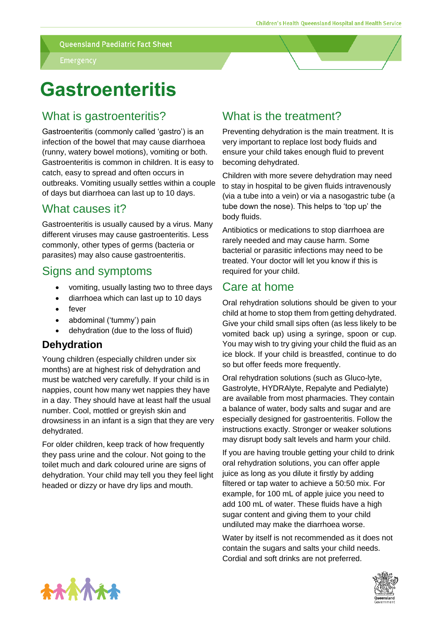**Queensland Paediatric Fact Sheet** 

# **Gastroenteritis**

### What is gastroenteritis?

Gastroenteritis (commonly called 'gastro') is an infection of the bowel that may cause diarrhoea (runny, watery bowel motions), vomiting or both. Gastroenteritis is common in children. It is easy to catch, easy to spread and often occurs in outbreaks. Vomiting usually settles within a couple of days but diarrhoea can last up to 10 days.

### What causes it?

Gastroenteritis is usually caused by a virus. Many different viruses may cause gastroenteritis. Less commonly, other types of germs (bacteria or parasites) may also cause gastroenteritis.

#### Signs and symptoms

- vomiting, usually lasting two to three days
- diarrhoea which can last up to 10 days
- fever
- abdominal ('tummy') pain
- dehydration (due to the loss of fluid)

#### **Dehydration**

Young children (especially children under six months) are at highest risk of dehydration and must be watched very carefully. If your child is in nappies, count how many wet nappies they have in a day. They should have at least half the usual number. Cool, mottled or greyish skin and drowsiness in an infant is a sign that they are very dehydrated.

For older children, keep track of how frequently they pass urine and the colour. Not going to the toilet much and dark coloured urine are signs of dehydration. Your child may tell you they feel light headed or dizzy or have dry lips and mouth.

### What is the treatment?

Preventing dehydration is the main treatment. It is very important to replace lost body fluids and ensure your child takes enough fluid to prevent becoming dehydrated.

Children with more severe dehydration may need to stay in hospital to be given fluids intravenously (via a tube into a vein) or via a nasogastric tube (a tube down the nose). This helps to 'top up' the body fluids.

Antibiotics or medications to stop diarrhoea are rarely needed and may cause harm. Some bacterial or parasitic infections may need to be treated. Your doctor will let you know if this is required for your child.

#### Care at home

Oral rehydration solutions should be given to your child at home to stop them from getting dehydrated. Give your child small sips often (as less likely to be vomited back up) using a syringe, spoon or cup. You may wish to try giving your child the fluid as an ice block. If your child is breastfed, continue to do so but offer feeds more frequently.

Oral rehydration solutions (such as Gluco-lyte, Gastrolyte, HYDRAlyte, Repalyte and Pedialyte) are available from most pharmacies. They contain a balance of water, body salts and sugar and are especially designed for gastroenteritis. Follow the instructions exactly. Stronger or weaker solutions may disrupt body salt levels and harm your child.

If you are having trouble getting your child to drink oral rehydration solutions, you can offer apple juice as long as you dilute it firstly by adding filtered or tap water to achieve a 50:50 mix. For example, for 100 mL of apple juice you need to add 100 mL of water. These fluids have a high sugar content and giving them to your child undiluted may make the diarrhoea worse.

Water by itself is not recommended as it does not contain the sugars and salts your child needs. Cordial and soft drinks are not preferred.